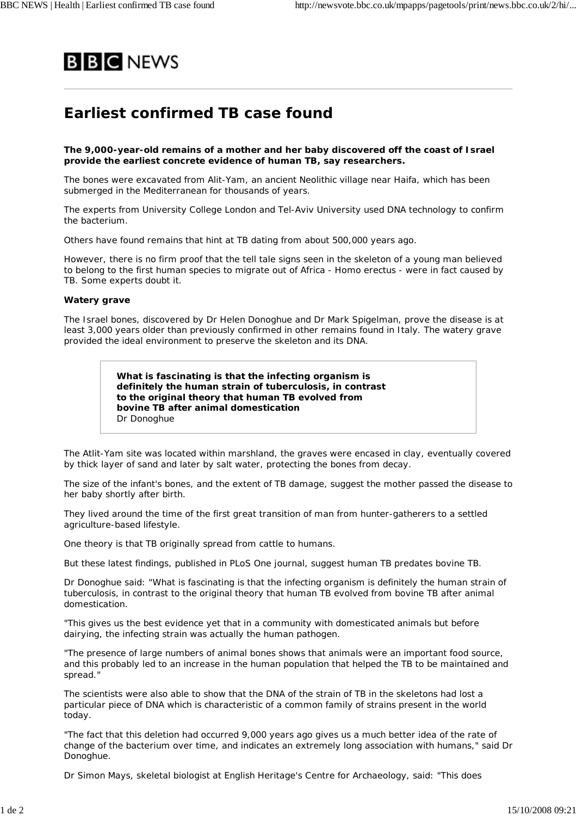

## **Earliest confirmed TB case found**

**The 9,000-year-old remains of a mother and her baby discovered off the coast of Israel provide the earliest concrete evidence of human TB, say researchers.**

The bones were excavated from Alit-Yam, an ancient Neolithic village near Haifa, which has been submerged in the Mediterranean for thousands of years.

The experts from University College London and Tel-Aviv University used DNA technology to confirm the bacterium.

Others have found remains that hint at TB dating from about 500,000 years ago.

However, there is no firm proof that the tell tale signs seen in the skeleton of a young man believed to belong to the first human species to migrate out of Africa - Homo erectus - were in fact caused by TB. Some experts doubt it.

## **Watery grave**

The Israel bones, discovered by Dr Helen Donoghue and Dr Mark Spigelman, prove the disease is at least 3,000 years older than previously confirmed in other remains found in Italy. The watery grave provided the ideal environment to preserve the skeleton and its DNA.

> **What is fascinating is that the infecting organism is definitely the human strain of tuberculosis, in contrast to the original theory that human TB evolved from bovine TB after animal domestication** Dr Donoghue

The Atlit-Yam site was located within marshland, the graves were encased in clay, eventually covered by thick layer of sand and later by salt water, protecting the bones from decay.

The size of the infant's bones, and the extent of TB damage, suggest the mother passed the disease to her baby shortly after birth.

They lived around the time of the first great transition of man from hunter-gatherers to a settled agriculture-based lifestyle.

One theory is that TB originally spread from cattle to humans.

But these latest findings, published in PLoS One journal, suggest human TB predates bovine TB.

Dr Donoghue said: "What is fascinating is that the infecting organism is definitely the human strain of tuberculosis, in contrast to the original theory that human TB evolved from bovine TB after animal domestication.

"This gives us the best evidence yet that in a community with domesticated animals but before dairying, the infecting strain was actually the human pathogen.

"The presence of large numbers of animal bones shows that animals were an important food source, and this probably led to an increase in the human population that helped the TB to be maintained and spread."

The scientists were also able to show that the DNA of the strain of TB in the skeletons had lost a particular piece of DNA which is characteristic of a common family of strains present in the world today.

"The fact that this deletion had occurred 9,000 years ago gives us a much better idea of the rate of change of the bacterium over time, and indicates an extremely long association with humans," said Dr Donoghue.

Dr Simon Mays, skeletal biologist at English Heritage's Centre for Archaeology, said: "This does